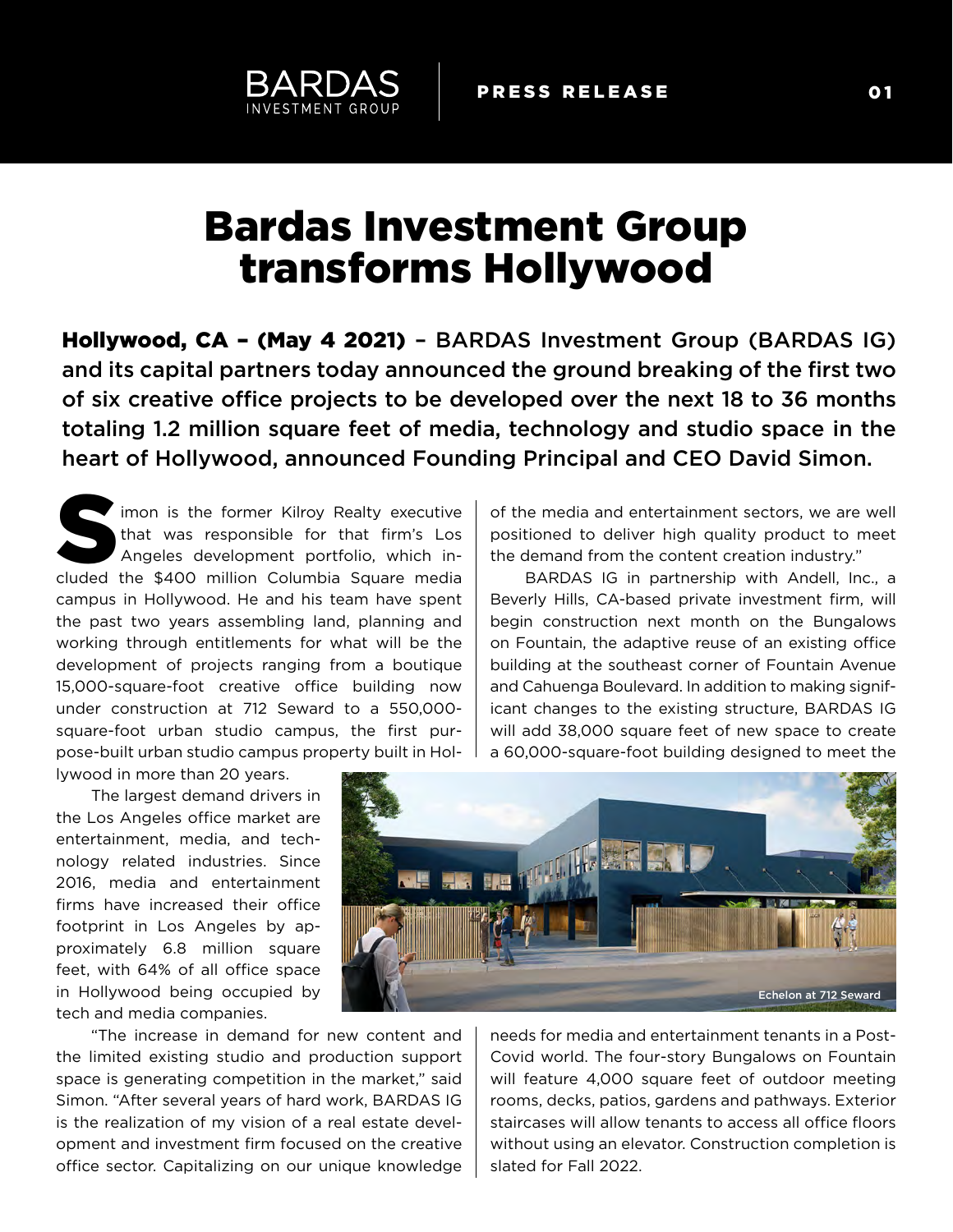## Bardas Investment Group transforms Hollywood

Hollywood, CA – (May 4 2021) – BARDAS Investment Group (BARDAS IG) and its capital partners today announced the ground breaking of the first two of six creative office projects to be developed over the next 18 to 36 months totaling 1.2 million square feet of media, technology and studio space in the heart of Hollywood, announced Founding Principal and CEO David Simon.

imon is the former Kilroy Realty executive that was responsible for that firm's Los Angeles development portfolio, which inimon is the former Kilroy Realty executive<br>
that was responsible for that firm's Los<br>
Angeles development portfolio, which in-<br>
cluded the \$400 million Columbia Square media campus in Hollywood. He and his team have spent the past two years assembling land, planning and working through entitlements for what will be the development of projects ranging from a boutique 15,000-square-foot creative office building now under construction at 712 Seward to a 550,000 square-foot urban studio campus, the first purpose-built urban studio campus property built in Hol-

lywood in more than 20 years.

The largest demand drivers in the Los Angeles office market are entertainment, media, and technology related industries. Since 2016, media and entertainment firms have increased their office footprint in Los Angeles by approximately 6.8 million square feet, with 64% of all office space in Hollywood being occupied by tech and media companies.

"The increase in demand for new content and the limited existing studio and production support space is generating competition in the market," said Simon. "After several years of hard work, BARDAS IG is the realization of my vision of a real estate development and investment firm focused on the creative office sector. Capitalizing on our unique knowledge of the media and entertainment sectors, we are well positioned to deliver high quality product to meet the demand from the content creation industry."

BARDAS IG in partnership with Andell, Inc., a Beverly Hills, CA-based private investment firm, will begin construction next month on the Bungalows on Fountain, the adaptive reuse of an existing office building at the southeast corner of Fountain Avenue and Cahuenga Boulevard. In addition to making significant changes to the existing structure, BARDAS IG will add 38,000 square feet of new space to create a 60,000-square-foot building designed to meet the



needs for media and entertainment tenants in a Post-Covid world. The four-story Bungalows on Fountain will feature 4,000 square feet of outdoor meeting rooms, decks, patios, gardens and pathways. Exterior staircases will allow tenants to access all office floors without using an elevator. Construction completion is slated for Fall 2022.